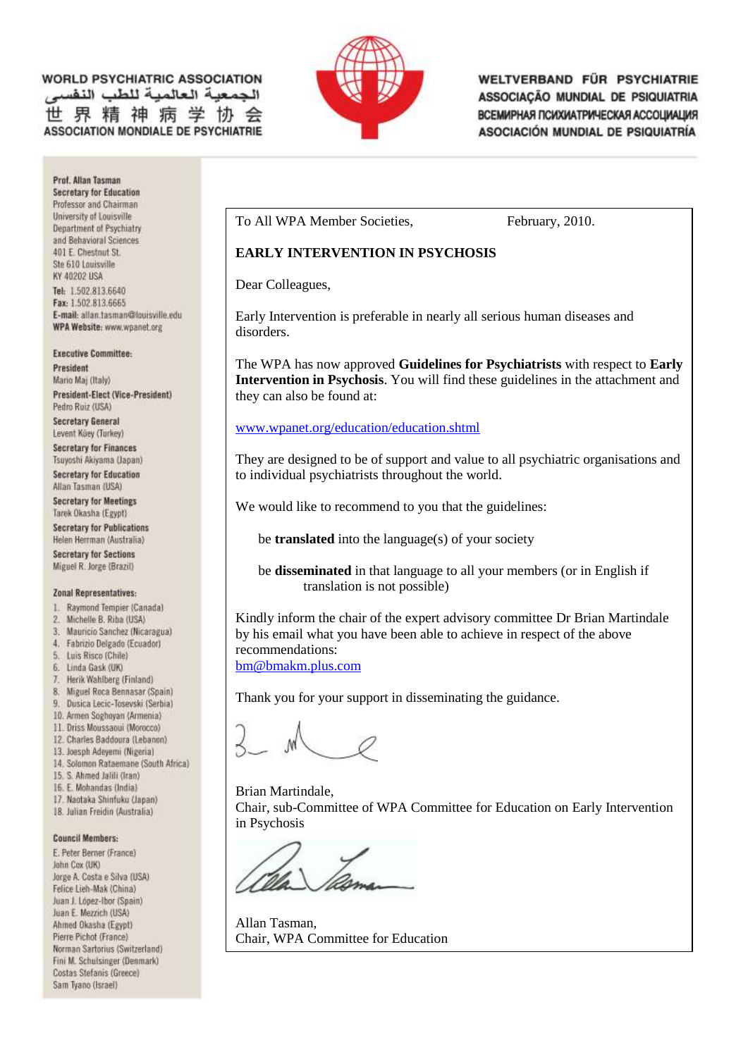### **WORLD PSYCHIATRIC ASSOCIATION** هبة العالمية للطب النفسه 世界精神病学协 **ASSOCIATION MONDIALE DE PSYCHIATRIE**



WELTVERBAND FÜR PSYCHIATRIE ASSOCIAÇÃO MUNDIAL DE PSIQUIATRIA ВСЕМИРНАЯ ПСИХИАТРИЧЕСКАЯ АССОЦИАЦИЯ ASOCIACIÓN MUNDIAL DE PSIQUIATRÍA

To All WPA Member Societies, February, 2010.

### **EARLY INTERVENTION IN PSYCHOSIS**

Dear Colleagues,

Early Intervention is preferable in nearly all serious human diseases and disorders.

The WPA has now approved **Guidelines for Psychiatrists** with respect to **Early Intervention in Psychosis**. You will find these guidelines in the attachment and they can also be found at:

#### [www.wpanet.org/education/education.shtml](http://www.wpanet.org/education/education.shtml)

They are designed to be of support and value to all psychiatric organisations and to individual psychiatrists throughout the world.

We would like to recommend to you that the guidelines:

be **translated** into the language(s) of your society

be **disseminated** in that language to all your members (or in English if translation is not possible)

Kindly inform the chair of the expert advisory committee Dr Brian Martindale by his email what you have been able to achieve in respect of the above recommendations: [bm@bmakm.plus.com](mailto:bm@bmakm.plus.com)

Thank you for your support in disseminating the guidance.

Brian Martindale, Chair, sub-Committee of WPA Committee for Education on Early Intervention in Psychosis

Allan Tasman, Chair, WPA Committee for Education

Prof. Allan Tasman **Secretary for Education** Professor and Chairman University of Louisville Department of Psychiatry and Behavioral Sciences 401 E. Chestnut St. Ste 610 Louisville KY 40202 USA Tel: 1.502.813.6640 Fax: 1.502.813.6665 E-mail: allan.tasman@louisville.edu WPA Website: www.wpanet.org

#### **Executive Committee:**

President Mario Maj (Italy) President-Elect (Vice-President) Pedro Ruiz (USA) **Secretary General** Levent Küey (Turkey) **Secretary for Finances** Tsuyoshi Akiyama (Japan) Secretary for Education Allan Tasman (USA) **Secretary for Meetings** Tarek Okasha (Egypt) **Secretary for Publications** Helen Herrman (Australia) **Secretary for Sections** Miguel R. Jorge (Brazil)

#### **Zonal Representatives:**

- 1. Raymond Tempier (Canada)
- $\mathbb{Z}$ Michelle B. Riba (USA)
- 3. Mauricio Sanchez (Nicaragua)
- 4. Fabrizio Delgado (Ecuador) 5. Luis Risco (Chile)
- 6. Linda Gask (UK)
- Herik Wahlberg (Finland)  $\mathcal{T}$ .
- 8. Miguel Roca Bennasar (Spain)
- 9. Dusica Lecic-Tosevski (Serbia)
- 10. Armen Soghoyan (Armenia)
- 11. Driss Moussaoui (Morocco)
- 12. Charles Baddoura (Lebanon)
- 13. Joesph Adeyemi (Nigeria)
- 14. Solomon Rataemane (South Africa)
- 15. S. Ahmed Jalili (Iran)
- 16. E. Mohandas (India)
- 17. Naotaka Shinfuku (Japan) 18. Julian Freidin (Australia)

## **Council Members:**

E. Peter Berner (France) John Cox (UK) Jorge A. Costa e Silva (USA) Felice Lieh-Mak (China) Juan J. López-Ibor (Spain) Juan E. Mezzich (USA) Ahmed Okasha (Egypt) Pierre Pichot (France) Norman Sartorius (Switzerland) Fini M. Schulsinger (Denmark) Costas Stefanis (Greece) Sam Tyano (Israel)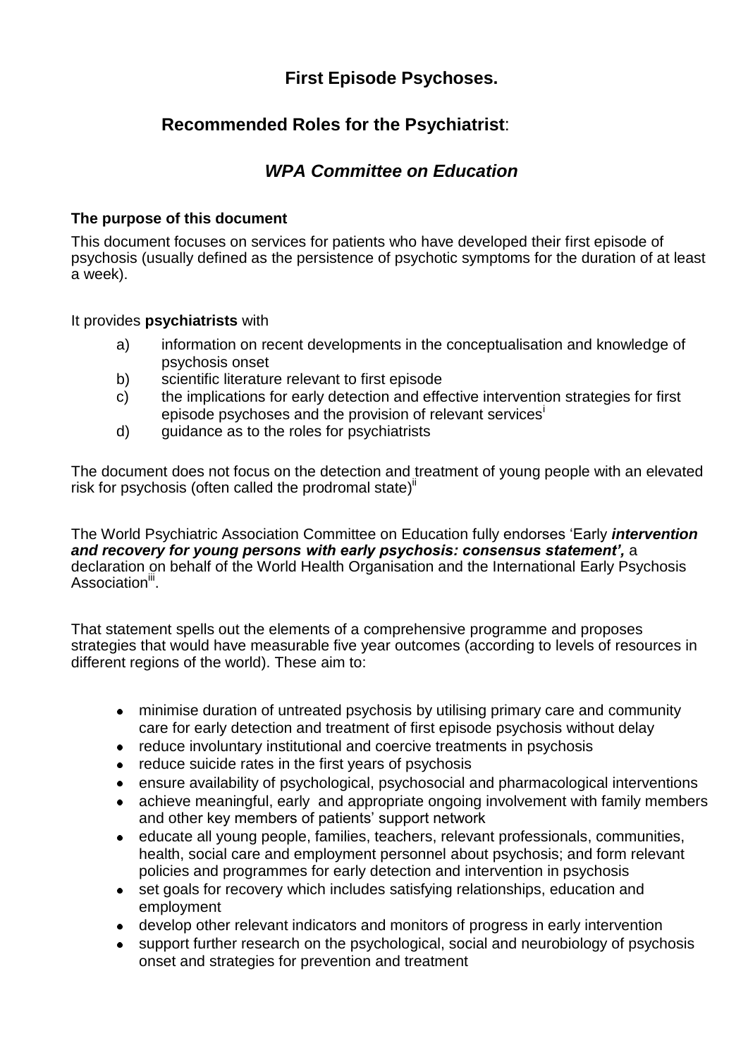# **First Episode Psychoses.**

# **Recommended Roles for the Psychiatrist**:

# *WPA Committee on Education*

### **The purpose of this document**

This document focuses on services for patients who have developed their first episode of psychosis (usually defined as the persistence of psychotic symptoms for the duration of at least a week).

### It provides **psychiatrists** with

- a) information on recent developments in the conceptualisation and knowledge of psychosis onset
- b) scientific literature relevant to first episode
- c) the implications for early detection and effective intervention strategies for first episode psychoses and the provision of relevant services<sup>1</sup>
- d) guidance as to the roles for psychiatrists

The document does not focus on the detection and treatment of young people with an elevated risk for psychosis (often called the prodromal state)<sup>ii</sup>

The World Psychiatric Association Committee on Education fully endorses 'Early *intervention and recovery for young persons with early psychosis: consensus statement',* a declaration on behalf of the World Health Organisation and the International Early Psychosis Association<sup>iii</sup>.

That statement spells out the elements of a comprehensive programme and proposes strategies that would have measurable five year outcomes (according to levels of resources in different regions of the world). These aim to:

- minimise duration of untreated psychosis by utilising primary care and community care for early detection and treatment of first episode psychosis without delay
- reduce involuntary institutional and coercive treatments in psychosis
- reduce suicide rates in the first years of psychosis
- ensure availability of psychological, psychosocial and pharmacological interventions  $\bullet$
- achieve meaningful, early and appropriate ongoing involvement with family members and other key members of patients' support network
- educate all young people, families, teachers, relevant professionals, communities,  $\bullet$ health, social care and employment personnel about psychosis; and form relevant policies and programmes for early detection and intervention in psychosis
- set goals for recovery which includes satisfying relationships, education and  $\bullet$ employment
- develop other relevant indicators and monitors of progress in early intervention  $\bullet$
- support further research on the psychological, social and neurobiology of psychosis onset and strategies for prevention and treatment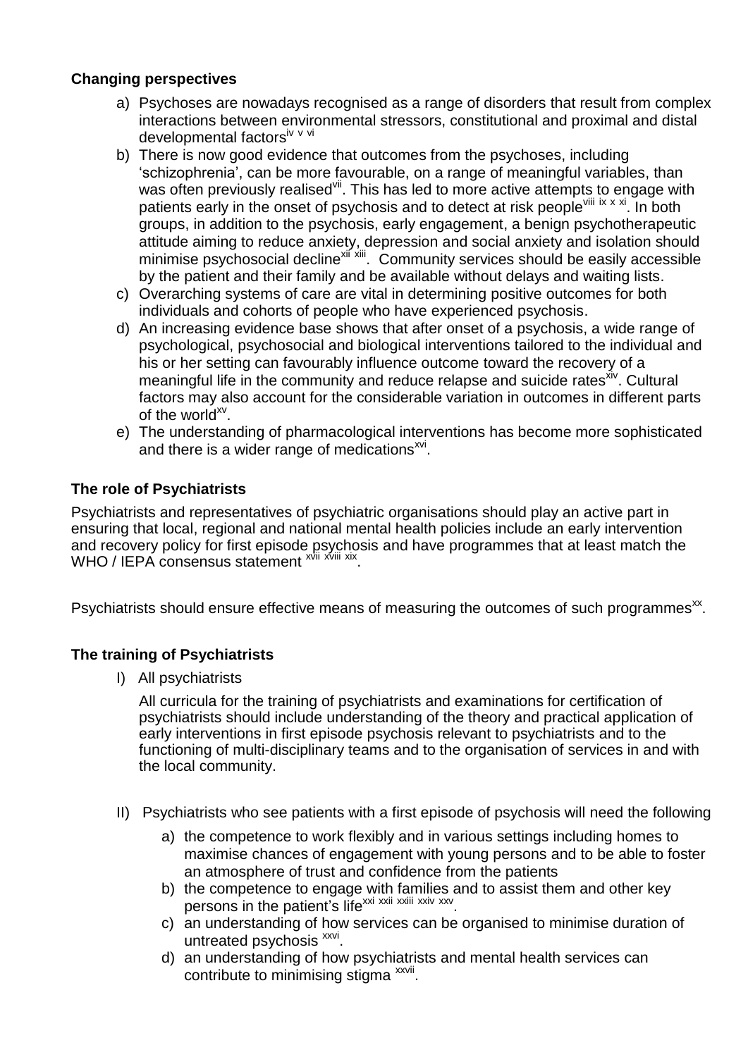### **Changing perspectives**

- a) Psychoses are nowadays recognised as a range of disorders that result from complex interactions between environmental stressors, constitutional and proximal and distal developmental factorsiv v vi
- b) There is now good evidence that outcomes from the psychoses, including 'schizophrenia', can be more favourable, on a range of meaningful variables, than was often previously realised i. This has led to more active attempts to engage with patients early in the onset of psychosis and to detect at risk people<sup>viii ix x xi</sup>. In both groups, in addition to the psychosis, early engagement, a benign psychotherapeutic attitude aiming to reduce anxiety, depression and social anxiety and isolation should minimise psychosocial decline<sup>xií xiii</sup>. Community services should be easily accessible by the patient and their family and be available without delays and waiting lists.
- c) Overarching systems of care are vital in determining positive outcomes for both individuals and cohorts of people who have experienced psychosis.
- d) An increasing evidence base shows that after onset of a psychosis, a wide range of psychological, psychosocial and biological interventions tailored to the individual and his or her setting can favourably influence outcome toward the recovery of a meaningful life in the community and reduce relapse and suicide rates xiv. Cultural factors may also account for the considerable variation in outcomes in different parts of the world $^{xy}$ .
- e) The understanding of pharmacological interventions has become more sophisticated and there is a wider range of medications<sup>xvi</sup>.

## **The role of Psychiatrists**

Psychiatrists and representatives of psychiatric organisations should play an active part in ensuring that local, regional and national mental health policies include an early intervention and recovery policy for first episode psychosis and have programmes that at least match the WHO / IEPA consensus statement <sup>xvii xviii xix</sup>.

Psychiatrists should ensure effective means of measuring the outcomes of such programmes<sup>xx</sup>.

## **The training of Psychiatrists**

I) All psychiatrists

All curricula for the training of psychiatrists and examinations for certification of psychiatrists should include understanding of the theory and practical application of early interventions in first episode psychosis relevant to psychiatrists and to the functioning of multi-disciplinary teams and to the organisation of services in and with the local community.

- II) Psychiatrists who see patients with a first episode of psychosis will need the following
	- a) the competence to work flexibly and in various settings including homes to maximise chances of engagement with young persons and to be able to foster an atmosphere of trust and confidence from the patients
	- b) the competence to engage with families and to assist them and other key persons in the patient's life<sup>xxi xxii xxiii xxiv xxv</sup>.
	- c) an understanding of how services can be organised to minimise duration of untreated psychosis xxvi.
	- d) an understanding of how psychiatrists and mental health services can contribute to minimising stigma xxvii.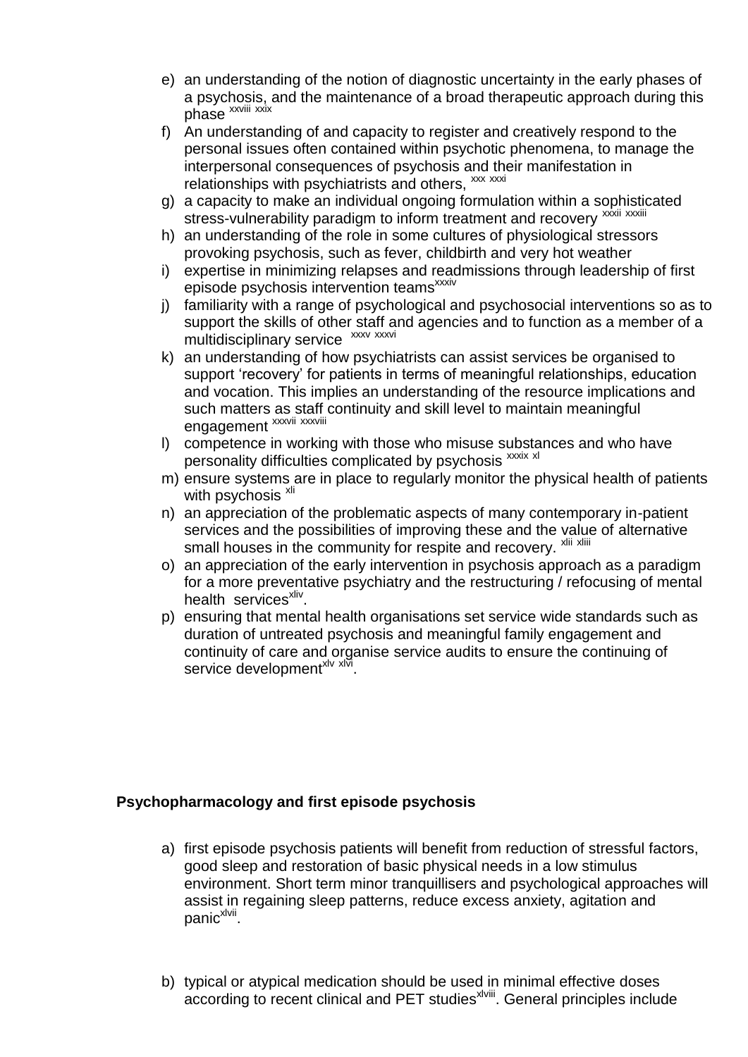- e) an understanding of the notion of diagnostic uncertainty in the early phases of a psychosis, and the maintenance of a broad therapeutic approach during this phase xxviii xxix
- f) An understanding of and capacity to register and creatively respond to the personal issues often contained within psychotic phenomena, to manage the interpersonal consequences of psychosis and their manifestation in relationships with psychiatrists and others, xxx xxxi
- g) a capacity to make an individual ongoing formulation within a sophisticated stress-vulnerability paradigm to inform treatment and recovery xxxiii xxxiii
- h) an understanding of the role in some cultures of physiological stressors provoking psychosis, such as fever, childbirth and very hot weather
- i) expertise in minimizing relapses and readmissions through leadership of first episode psychosis intervention teams<sup>xxxiv</sup>
- j) familiarity with a range of psychological and psychosocial interventions so as to support the skills of other staff and agencies and to function as a member of a multidisciplinary service xxxv xxxvi
- k) an understanding of how psychiatrists can assist services be organised to support 'recovery' for patients in terms of meaningful relationships, education and vocation. This implies an understanding of the resource implications and such matters as staff continuity and skill level to maintain meaningful engagement xxxvii xxxviii
- l) competence in working with those who misuse substances and who have personality difficulties complicated by psychosis xxxix xl
- m) ensure systems are in place to regularly monitor the physical health of patients with psychosis<sup>xli</sup>
- n) an appreciation of the problematic aspects of many contemporary in-patient services and the possibilities of improving these and the value of alternative small houses in the community for respite and recovery. Xlii Xliii
- o) an appreciation of the early intervention in psychosis approach as a paradigm for a more preventative psychiatry and the restructuring / refocusing of mental health services<sup>xliv</sup>.
- p) ensuring that mental health organisations set service wide standards such as duration of untreated psychosis and meaningful family engagement and continuity of care and organise service audits to ensure the continuing of service development<sup>xlv xlvi</sup>.

### **Psychopharmacology and first episode psychosis**

- a) first episode psychosis patients will benefit from reduction of stressful factors, good sleep and restoration of basic physical needs in a low stimulus environment. Short term minor tranquillisers and psychological approaches will assist in regaining sleep patterns, reduce excess anxiety, agitation and panic<sup>xlvii</sup>.
- b) typical or atypical medication should be used in minimal effective doses according to recent clinical and PET studies<sup>xlviii</sup>. General principles include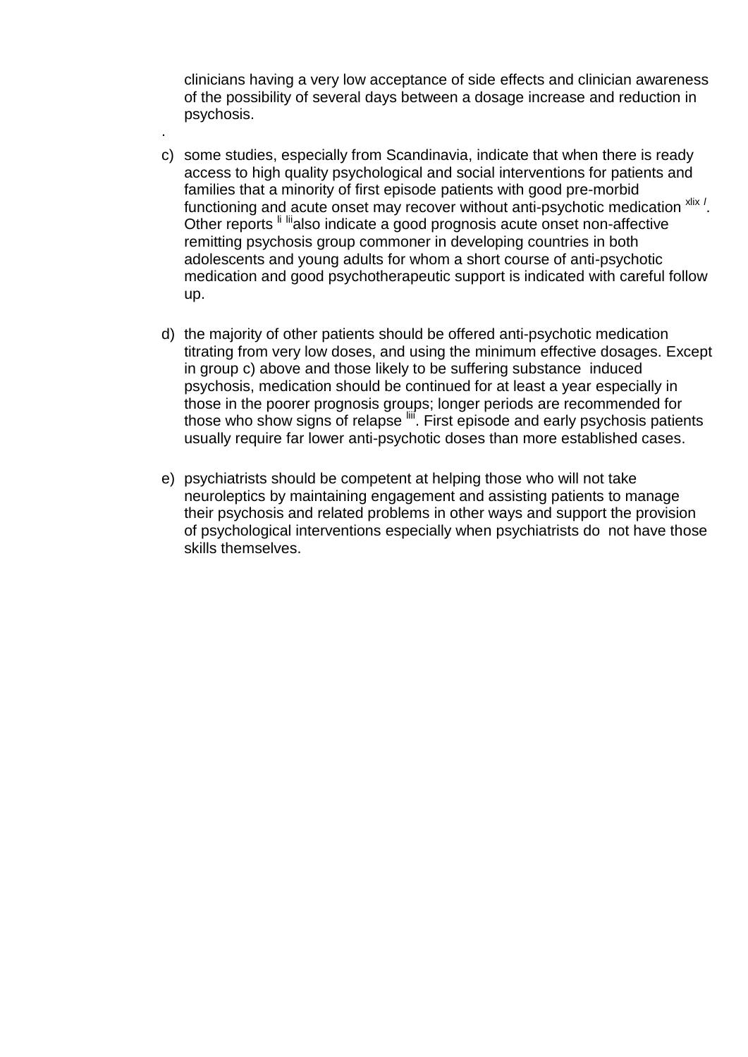clinicians having a very low acceptance of side effects and clinician awareness of the possibility of several days between a dosage increase and reduction in psychosis.

.

- c) some studies, especially from Scandinavia, indicate that when there is ready access to high quality psychological and social interventions for patients and families that a minority of first episode patients with good pre-morbid functioning and acute onset may recover without anti-psychotic medication xlix / Other reports <sup>li lii</sup>also indicate a good prognosis acute onset non-affective remitting psychosis group commoner in developing countries in both adolescents and young adults for whom a short course of anti-psychotic medication and good psychotherapeutic support is indicated with careful follow up.
- d) the majority of other patients should be offered anti-psychotic medication titrating from very low doses, and using the minimum effective dosages. Except in group c) above and those likely to be suffering substance induced psychosis, medication should be continued for at least a year especially in those in the poorer prognosis groups; longer periods are recommended for those who show signs of relapse  $\frac{1}{10}$ . First episode and early psychosis patients usually require far lower anti-psychotic doses than more established cases.
- e) psychiatrists should be competent at helping those who will not take neuroleptics by maintaining engagement and assisting patients to manage their psychosis and related problems in other ways and support the provision of psychological interventions especially when psychiatrists do not have those skills themselves.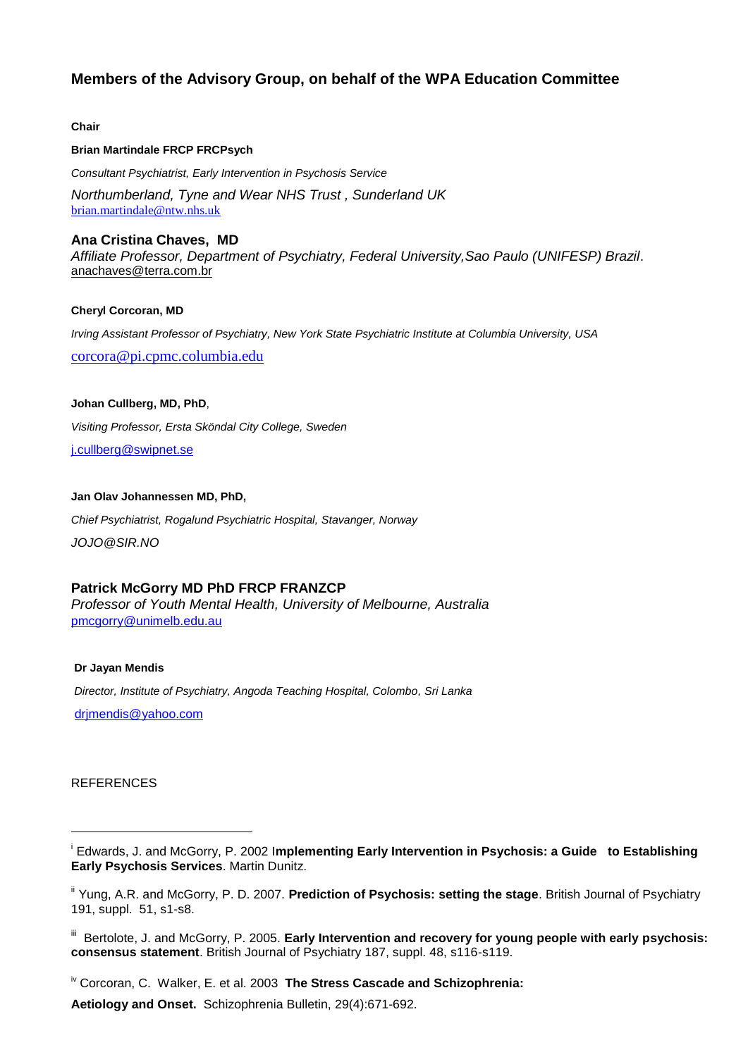### **Members of the Advisory Group, on behalf of the WPA Education Committee**

#### **Chair**

#### **Brian Martindale FRCP FRCPsych**

*Consultant Psychiatrist, Early Intervention in Psychosis Service*

*Northumberland, Tyne and Wear NHS Trust , Sunderland UK* [brian.martindale@ntw.nhs.uk](mailto:brian.martindale@ntw.nhs.uk)

### **Ana Cristina Chaves, MD**

*Affiliate Professor, Department of Psychiatry, Federal University,Sao Paulo (UNIFESP) Brazil*. anachaves@terra.com.br

#### **Cheryl Corcoran, MD**

*Irving Assistant Professor of Psychiatry, New York State Psychiatric Institute at Columbia University, USA*

[corcora@pi.cpmc.columbia.edu](mailto:corcora@pi.cpmc.columbia.edu)

### **Johan Cullberg, MD, PhD**,

*Visiting Professor, Ersta Sköndal City College, Sweden*

[j.cullberg@swipnet.se](mailto:j.cullberg@swipnet.se)

#### **Jan Olav Johannessen MD, PhD,**

*Chief Psychiatrist, Rogalund Psychiatric Hospital, Stavanger, Norway*

*JOJO@SIR.NO* 

### **Patrick McGorry MD PhD FRCP FRANZCP**

*Professor of Youth Mental Health, University of Melbourne, Australia* [pmcgorry@unimelb.edu.au](mailto:pmcgorry@unimelb.edu.au)

#### **Dr Jayan Mendis**

*Director, Institute of Psychiatry, Angoda Teaching Hospital, Colombo, Sri Lanka*

[drjmendis@yahoo.com](mailto:drjmendis@yahoo.com)

#### **REFERENCES**

-

iv Corcoran, C. Walker, E. et al. 2003 **The Stress Cascade and Schizophrenia:**

**Aetiology and Onset.** Schizophrenia Bulletin, 29(4):671-692.

i Edwards, J. and McGorry, P. 2002 I**mplementing Early Intervention in Psychosis: a Guide to Establishing Early Psychosis Services**. Martin Dunitz.

ii Yung, A.R. and McGorry, P. D. 2007. **Prediction of Psychosis: setting the stage**. British Journal of Psychiatry 191, suppl. 51, s1-s8.

III Bertolote, J. and McGorry, P. 2005. **Early Intervention and recovery for young people with early psychosis: consensus statement**. British Journal of Psychiatry 187, suppl. 48, s116-s119.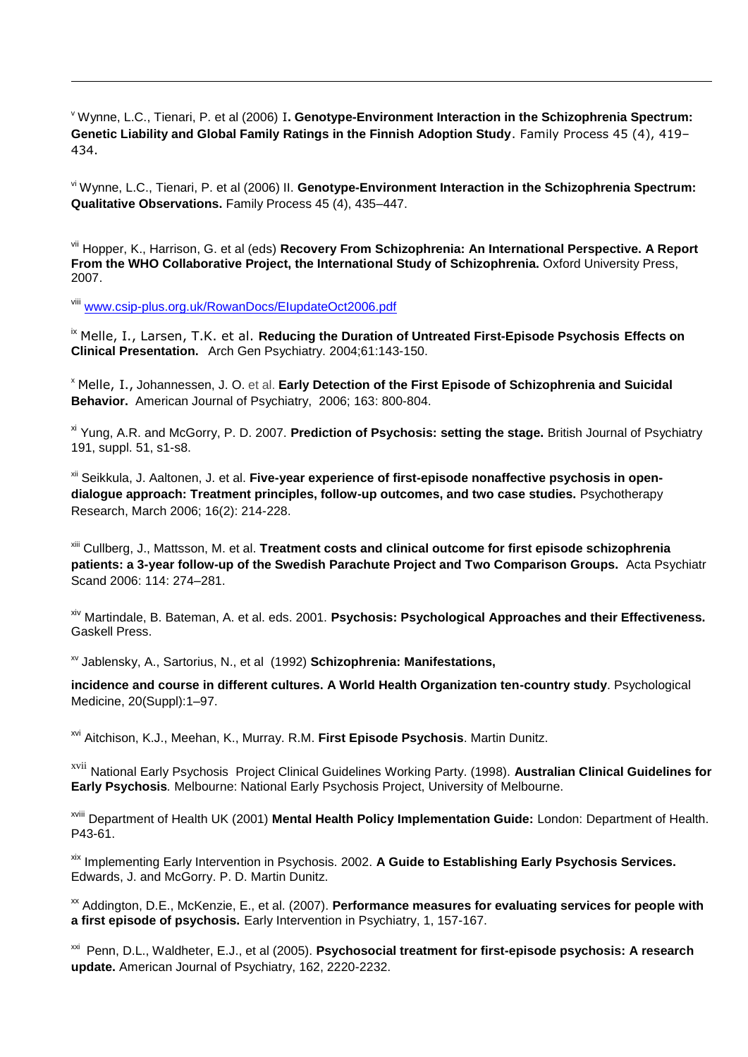<sup>v</sup> Wynne, L.C., Tienari, P. et al (2006) I**. Genotype-Environment Interaction in the Schizophrenia Spectrum: Genetic Liability and Global Family Ratings in the Finnish Adoption Study**. Family Process 45 (4), 419– 434.

vi Wynne, L.C., Tienari, P. et al (2006) II. **Genotype-Environment Interaction in the Schizophrenia Spectrum: Qualitative Observations.** Family Process 45 (4), 435–447.

vii Hopper, K., Harrison, G. et al (eds) **Recovery From Schizophrenia: An International Perspective. A Report**  From the WHO Collaborative Project, the International Study of Schizophrenia. Oxford University Press, 2007.

viii [www.csip-plus.org.uk/RowanDocs/EIupdateOct2006.pdf](http://www.csip-plus.org.uk/RowanDocs/EIupdateOct2006.pdf)

 $\overline{a}$ 

ix Melle, I., Larsen, T.K. et al. **Reducing the Duration of Untreated First-Episode Psychosis Effects on Clinical Presentation.** Arch Gen Psychiatry. 2004;61:143-150.

<sup>x</sup> Melle, I., Johannessen, J. O. et al. **Early Detection of the First Episode of Schizophrenia and Suicidal Behavior.** American Journal of Psychiatry, 2006; 163: 800-804.

xi Yung, A.R. and McGorry, P. D. 2007. **Prediction of Psychosis: setting the stage.** British Journal of Psychiatry 191, suppl. 51, s1-s8.

xii Seikkula, J. Aaltonen, J. et al. **Five-year experience of first-episode nonaffective psychosis in opendialogue approach: Treatment principles, follow-up outcomes, and two case studies.** Psychotherapy Research, March 2006; 16(2): 214-228.

xiii Cullberg, J., Mattsson, M. et al. **Treatment costs and clinical outcome for first episode schizophrenia patients: a 3-year follow-up of the Swedish Parachute Project and Two Comparison Groups.** Acta Psychiatr Scand 2006: 114: 274–281.

xiv Martindale, B. Bateman, A. et al. eds. 2001. **Psychosis: Psychological Approaches and their Effectiveness.** Gaskell Press.

xv Jablensky, A., Sartorius, N., et al (1992) **Schizophrenia: Manifestations,**

**incidence and course in different cultures. A World Health Organization ten-country study**. Psychological Medicine, 20(Suppl):1–97.

xvi Aitchison, K.J., Meehan, K., Murray. R.M. **First Episode Psychosis**. Martin Dunitz.

xvii National Early Psychosis Project Clinical Guidelines Working Party. (1998). **Australian Clinical Guidelines for Early Psychosis***.* Melbourne: National Early Psychosis Project, University of Melbourne.

xviii Department of Health UK (2001) **Mental Health Policy Implementation Guide:** London: Department of Health. P43-61.

xix Implementing Early Intervention in Psychosis. 2002. **A Guide to Establishing Early Psychosis Services.**  Edwards, J. and McGorry. P. D. Martin Dunitz.

xx Addington, D.E., McKenzie, E., et al. (2007). **Performance measures for evaluating services for people with a first episode of psychosis.** Early Intervention in Psychiatry, 1, 157-167.

<sup>xxi</sup> Penn, D.L., Waldheter, E.J., et al (2005). **Psychosocial treatment for first-episode psychosis: A research update.** American Journal of Psychiatry, 162, 2220-2232.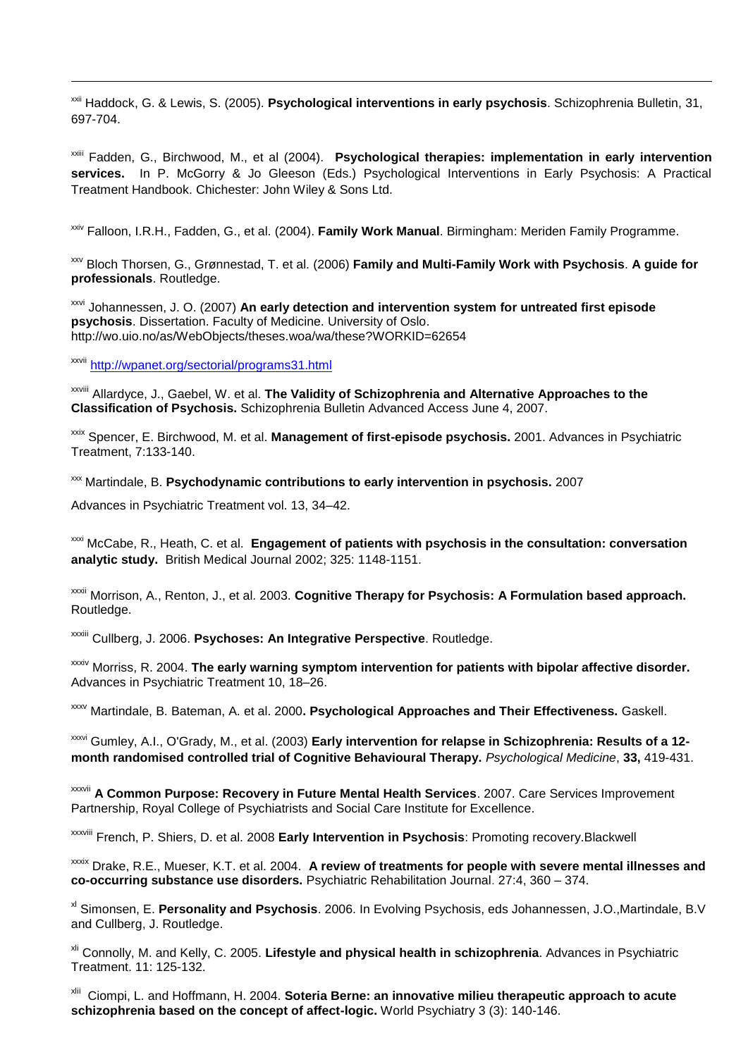xxii Haddock, G. & Lewis, S. (2005). **Psychological interventions in early psychosis**. Schizophrenia Bulletin, 31, 697-704.

xxiii Fadden, G., Birchwood, M., et al (2004). **Psychological therapies: implementation in early intervention services.** In P. McGorry & Jo Gleeson (Eds.) Psychological Interventions in Early Psychosis: A Practical Treatment Handbook. Chichester: John Wiley & Sons Ltd.

xxiv Falloon, I.R.H., Fadden, G., et al. (2004). **Family Work Manual**. Birmingham: Meriden Family Programme.

xxv Bloch Thorsen, G., Grønnestad, T. et al. (2006) **Family and Multi-Family Work with Psychosis**. **A guide for professionals**. Routledge.

xxvi Johannessen, J. O. (2007) **An early detection and intervention system for untreated first episode psychosis**. Dissertation. Faculty of Medicine. University of Oslo. <http://wo.uio.no/as/WebObjects/theses.woa/wa/these?WORKID=62654>

xxvii <http://wpanet.org/sectorial/programs31.html>

 $\overline{a}$ 

xxviii Allardyce, J., Gaebel, W. et al. **The Validity of Schizophrenia and Alternative Approaches to the Classification of Psychosis.** Schizophrenia Bulletin Advanced Access June 4, 2007.

xxix Spencer, E. Birchwood, M. et al. **Management of first-episode psychosis.** 2001. Advances in Psychiatric Treatment, 7:133-140.

xxx Martindale, B. **Psychodynamic contributions to early intervention in psychosis.** 2007

Advances in Psychiatric Treatment vol. 13, 34–42.

xxxi McCabe, R., Heath, C. et al. **Engagement of patients with psychosis in the consultation: conversation analytic study.** British Medical Journal 2002; 325: 1148-1151.

xxxii Morrison, A., Renton, J., et al. 2003. **Cognitive Therapy for Psychosis: A Formulation based approach.**  Routledge.

xxxiii Cullberg, J. 2006. **Psychoses: An Integrative Perspective**. Routledge.

xxxiv Morriss, R. 2004. **The early warning symptom intervention for patients with bipolar affective disorder.**  Advances in Psychiatric Treatment 10, 18–26.

xxxv Martindale, B. Bateman, A. et al. 2000**. Psychological Approaches and Their Effectiveness.** Gaskell.

xxxvi Gumley, A.I., O'Grady, M., et al. (2003) **Early intervention for relapse in Schizophrenia: Results of a 12 month randomised controlled trial of Cognitive Behavioural Therapy.** *Psychological Medicine*, **33,** 419-431.

xxxvii **A Common Purpose: Recovery in Future Mental Health Services**. 2007. Care Services Improvement Partnership, Royal College of Psychiatrists and Social Care Institute for Excellence.

xxxviii French, P. Shiers, D. et al. 2008 **Early Intervention in Psychosis**: Promoting recovery.Blackwell

xxxix Drake, R.E., Mueser, K.T. et al. 2004. **A review of treatments for people with severe mental illnesses and co-occurring substance use disorders.** Psychiatric Rehabilitation Journal. 27:4, 360 – 374.

xl Simonsen, E. **Personality and Psychosis**. 2006. In Evolving Psychosis, eds Johannessen, J.O.,Martindale, B.V and Cullberg, J. Routledge.

xli Connolly, M. and Kelly, C. 2005. **Lifestyle and physical health in schizophrenia**. Advances in Psychiatric Treatment. 11: 125-132.

xlii Ciompi, L. and Hoffmann, H. 2004. **Soteria Berne: an innovative milieu therapeutic approach to acute schizophrenia based on the concept of affect-logic.** World Psychiatry 3 (3): 140-146.